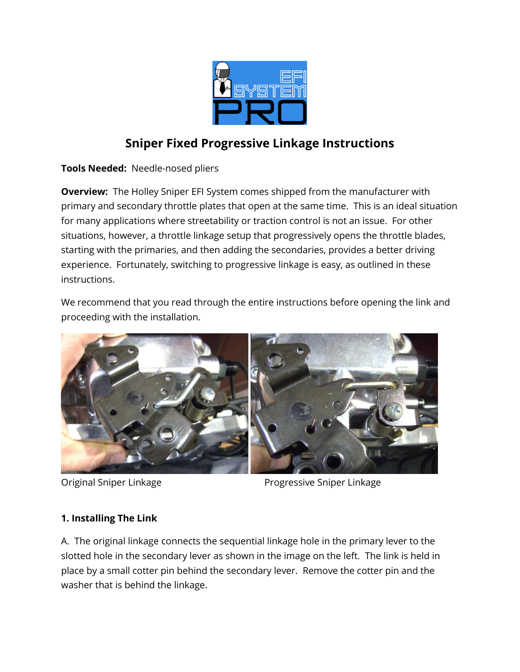

# **Sniper Fixed Progressive Linkage Instructions**

**Tools Needed:** Needle-nosed pliers

**Overview:** The Holley Sniper EFI System comes shipped from the manufacturer with primary and secondary throttle plates that open at the same time. This is an ideal situation for many applications where streetability or traction control is not an issue. For other situations, however, a throttle linkage setup that progressively opens the throttle blades, starting with the primaries, and then adding the secondaries, provides a better driving experience. Fortunately, switching to progressive linkage is easy, as outlined in these instructions.

We recommend that you read through the entire instructions before opening the link and proceeding with the installation.



Original Sniper Linkage **Progressive Sniper Linkage** 

# **1. Installing The Link**

A. The original linkage connects the sequential linkage hole in the primary lever to the slotted hole in the secondary lever as shown in the image on the left. The link is held in place by a small cotter pin behind the secondary lever. Remove the cotter pin and the washer that is behind the linkage.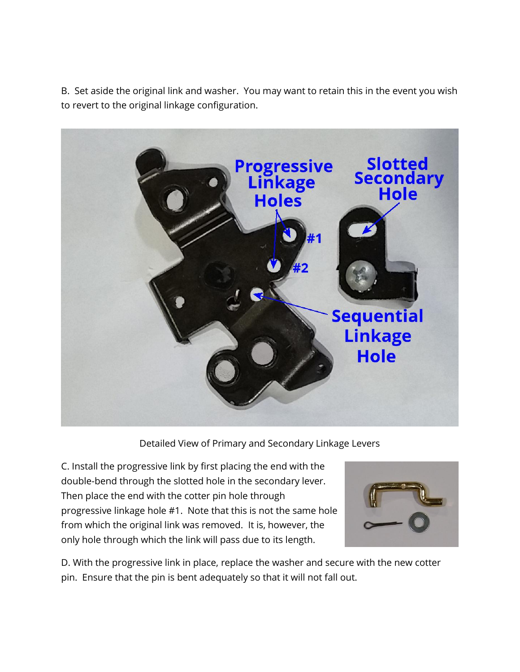B. Set aside the original link and washer. You may want to retain this in the event you wish to revert to the original linkage configuration.



Detailed View of Primary and Secondary Linkage Levers

C. Install the progressive link by first placing the end with the double-bend through the slotted hole in the secondary lever. Then place the end with the cotter pin hole through progressive linkage hole #1. Note that this is not the same hole from which the original link was removed. It is, however, the only hole through which the link will pass due to its length.



D. With the progressive link in place, replace the washer and secure with the new cotter pin. Ensure that the pin is bent adequately so that it will not fall out.